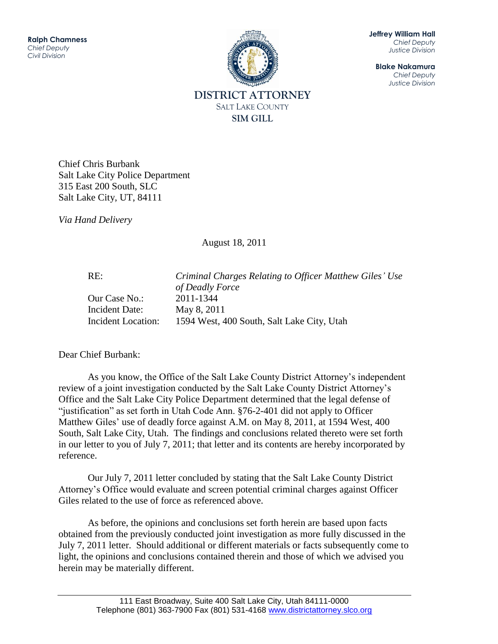

**Jeffrey William Hall** *Chief Deputy Justice Division*

**Blake Nakamura** *Chief Deputy Justice Division*

Chief Chris Burbank Salt Lake City Police Department 315 East 200 South, SLC Salt Lake City, UT, 84111

*Via Hand Delivery*

August 18, 2011

RE: *Criminal Charges Relating to Officer Matthew Giles' Use of Deadly Force* Our Case No.: 2011-1344 Incident Date: May 8, 2011 Incident Location: 1594 West, 400 South, Salt Lake City, Utah

Dear Chief Burbank:

As you know, the Office of the Salt Lake County District Attorney's independent review of a joint investigation conducted by the Salt Lake County District Attorney's Office and the Salt Lake City Police Department determined that the legal defense of "justification" as set forth in Utah Code Ann. §76-2-401 did not apply to Officer Matthew Giles' use of deadly force against A.M. on May 8, 2011, at 1594 West, 400 South, Salt Lake City, Utah. The findings and conclusions related thereto were set forth in our letter to you of July 7, 2011; that letter and its contents are hereby incorporated by reference.

Our July 7, 2011 letter concluded by stating that the Salt Lake County District Attorney's Office would evaluate and screen potential criminal charges against Officer Giles related to the use of force as referenced above.

As before, the opinions and conclusions set forth herein are based upon facts obtained from the previously conducted joint investigation as more fully discussed in the July 7, 2011 letter. Should additional or different materials or facts subsequently come to light, the opinions and conclusions contained therein and those of which we advised you herein may be materially different.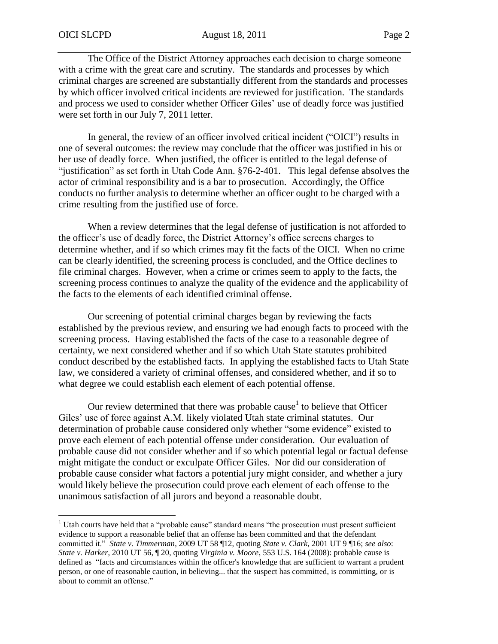$\overline{a}$ 

The Office of the District Attorney approaches each decision to charge someone with a crime with the great care and scrutiny. The standards and processes by which criminal charges are screened are substantially different from the standards and processes by which officer involved critical incidents are reviewed for justification. The standards and process we used to consider whether Officer Giles' use of deadly force was justified were set forth in our July 7, 2011 letter.

In general, the review of an officer involved critical incident ("OICI") results in one of several outcomes: the review may conclude that the officer was justified in his or her use of deadly force. When justified, the officer is entitled to the legal defense of "justification" as set forth in Utah Code Ann. §76-2-401. This legal defense absolves the actor of criminal responsibility and is a bar to prosecution. Accordingly, the Office conducts no further analysis to determine whether an officer ought to be charged with a crime resulting from the justified use of force.

When a review determines that the legal defense of justification is not afforded to the officer's use of deadly force, the District Attorney's office screens charges to determine whether, and if so which crimes may fit the facts of the OICI. When no crime can be clearly identified, the screening process is concluded, and the Office declines to file criminal charges. However, when a crime or crimes seem to apply to the facts, the screening process continues to analyze the quality of the evidence and the applicability of the facts to the elements of each identified criminal offense.

Our screening of potential criminal charges began by reviewing the facts established by the previous review, and ensuring we had enough facts to proceed with the screening process. Having established the facts of the case to a reasonable degree of certainty, we next considered whether and if so which Utah State statutes prohibited conduct described by the established facts. In applying the established facts to Utah State law, we considered a variety of criminal offenses, and considered whether, and if so to what degree we could establish each element of each potential offense.

Our review determined that there was probable cause<sup>1</sup> to believe that Officer Giles' use of force against A.M. likely violated Utah state criminal statutes. Our determination of probable cause considered only whether "some evidence" existed to prove each element of each potential offense under consideration. Our evaluation of probable cause did not consider whether and if so which potential legal or factual defense might mitigate the conduct or exculpate Officer Giles. Nor did our consideration of probable cause consider what factors a potential jury might consider, and whether a jury would likely believe the prosecution could prove each element of each offense to the unanimous satisfaction of all jurors and beyond a reasonable doubt.

<sup>&</sup>lt;sup>1</sup> Utah courts have held that a "probable cause" standard means "the prosecution must present sufficient evidence to support a reasonable belief that an offense has been committed and that the defendant committed it." *State v. Timmerman*, 2009 UT 58 ¶12, quoting *State v. Clark*, 2001 UT 9 ¶16; *see also*: *State v. Harker*, 2010 UT 56, ¶ 20, quoting *Virginia v. Moore*, 553 U.S. 164 (2008): probable cause is defined as "facts and circumstances within the officer's knowledge that are sufficient to warrant a prudent person, or one of reasonable caution, in believing... that the suspect has committed, is committing, or is about to commit an offense."